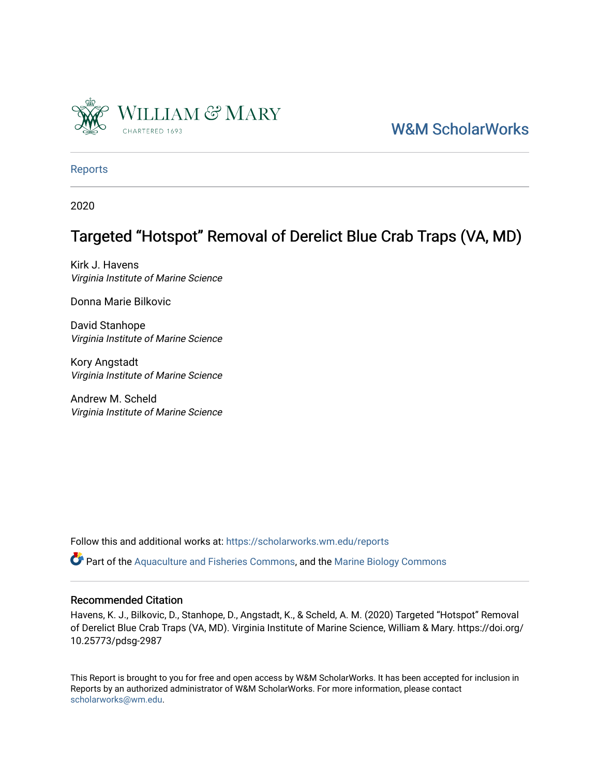

## [W&M ScholarWorks](https://scholarworks.wm.edu/)

[Reports](https://scholarworks.wm.edu/reports)

2020

# Targeted "Hotspot" Removal of Derelict Blue Crab Traps (VA, MD)

Kirk J. Havens Virginia Institute of Marine Science

Donna Marie Bilkovic

David Stanhope Virginia Institute of Marine Science

Kory Angstadt Virginia Institute of Marine Science

Andrew M. Scheld Virginia Institute of Marine Science

Follow this and additional works at: [https://scholarworks.wm.edu/reports](https://scholarworks.wm.edu/reports?utm_source=scholarworks.wm.edu%2Freports%2F2309&utm_medium=PDF&utm_campaign=PDFCoverPages)

 $\bullet$  Part of the [Aquaculture and Fisheries Commons](http://network.bepress.com/hgg/discipline/78?utm_source=scholarworks.wm.edu%2Freports%2F2309&utm_medium=PDF&utm_campaign=PDFCoverPages), and the Marine Biology Commons

#### Recommended Citation

Havens, K. J., Bilkovic, D., Stanhope, D., Angstadt, K., & Scheld, A. M. (2020) Targeted "Hotspot" Removal of Derelict Blue Crab Traps (VA, MD). Virginia Institute of Marine Science, William & Mary. https://doi.org/ 10.25773/pdsg-2987

This Report is brought to you for free and open access by W&M ScholarWorks. It has been accepted for inclusion in Reports by an authorized administrator of W&M ScholarWorks. For more information, please contact [scholarworks@wm.edu.](mailto:scholarworks@wm.edu)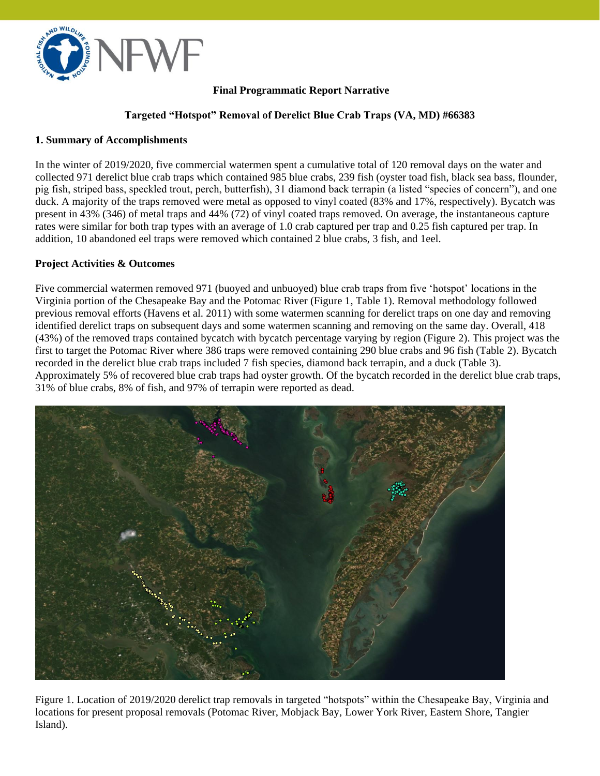

#### **Final Programmatic Report Narrative**

#### **Targeted "Hotspot" Removal of Derelict Blue Crab Traps (VA, MD) #66383**

#### **1. Summary of Accomplishments**

In the winter of 2019/2020, five commercial watermen spent a cumulative total of 120 removal days on the water and collected 971 derelict blue crab traps which contained 985 blue crabs, 239 fish (oyster toad fish, black sea bass, flounder, pig fish, striped bass, speckled trout, perch, butterfish), 31 diamond back terrapin (a listed "species of concern"), and one duck. A majority of the traps removed were metal as opposed to vinyl coated (83% and 17%, respectively). Bycatch was present in 43% (346) of metal traps and 44% (72) of vinyl coated traps removed. On average, the instantaneous capture rates were similar for both trap types with an average of 1.0 crab captured per trap and 0.25 fish captured per trap. In addition, 10 abandoned eel traps were removed which contained 2 blue crabs, 3 fish, and 1eel.

#### **Project Activities & Outcomes**

Five commercial watermen removed 971 (buoyed and unbuoyed) blue crab traps from five 'hotspot' locations in the Virginia portion of the Chesapeake Bay and the Potomac River (Figure 1, Table 1). Removal methodology followed previous removal efforts (Havens et al. 2011) with some watermen scanning for derelict traps on one day and removing identified derelict traps on subsequent days and some watermen scanning and removing on the same day. Overall, 418 (43%) of the removed traps contained bycatch with bycatch percentage varying by region (Figure 2). This project was the first to target the Potomac River where 386 traps were removed containing 290 blue crabs and 96 fish (Table 2). Bycatch recorded in the derelict blue crab traps included 7 fish species, diamond back terrapin, and a duck (Table 3). Approximately 5% of recovered blue crab traps had oyster growth. Of the bycatch recorded in the derelict blue crab traps, 31% of blue crabs, 8% of fish, and 97% of terrapin were reported as dead.



Figure 1. Location of 2019/2020 derelict trap removals in targeted "hotspots" within the Chesapeake Bay, Virginia and locations for present proposal removals (Potomac River, Mobjack Bay, Lower York River, Eastern Shore, Tangier Island).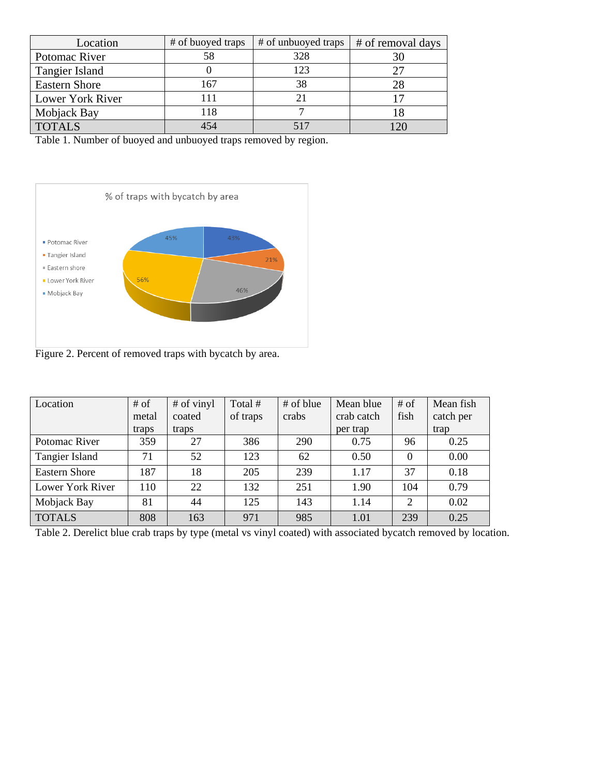| Location             | # of buoyed traps | # of unbuoyed traps | # of removal days |
|----------------------|-------------------|---------------------|-------------------|
| Potomac River        | 58                | 328                 | 30                |
| Tangier Island       |                   | 123                 | 27                |
| <b>Eastern Shore</b> | 167               | 38                  | 28                |
| Lower York River     | 111               |                     |                   |
| Mobjack Bay          | 118               |                     |                   |
| <b>TOTALS</b>        | 454               |                     | $\cap$            |

Table 1. Number of buoyed and unbuoyed traps removed by region.



Figure 2. Percent of removed traps with bycatch by area.

| Location             | # of  | # of vinyl | Total #  | # of blue | Mean blue  | $#$ of         | Mean fish |
|----------------------|-------|------------|----------|-----------|------------|----------------|-----------|
|                      | metal | coated     | of traps | crabs     | crab catch | fish           | catch per |
|                      | traps | traps      |          |           | per trap   |                | trap      |
| Potomac River        | 359   | 27         | 386      | 290       | 0.75       | 96             | 0.25      |
| Tangier Island       | 71    | 52         | 123      | 62        | 0.50       | $\Omega$       | 0.00      |
| <b>Eastern Shore</b> | 187   | 18         | 205      | 239       | 1.17       | 37             | 0.18      |
| Lower York River     | 110   | 22         | 132      | 251       | 1.90       | 104            | 0.79      |
| Mobjack Bay          | 81    | 44         | 125      | 143       | 1.14       | $\overline{2}$ | 0.02      |
| <b>TOTALS</b>        | 808   | 163        | 971      | 985       | 1.01       | 239            | 0.25      |

Table 2. Derelict blue crab traps by type (metal vs vinyl coated) with associated bycatch removed by location.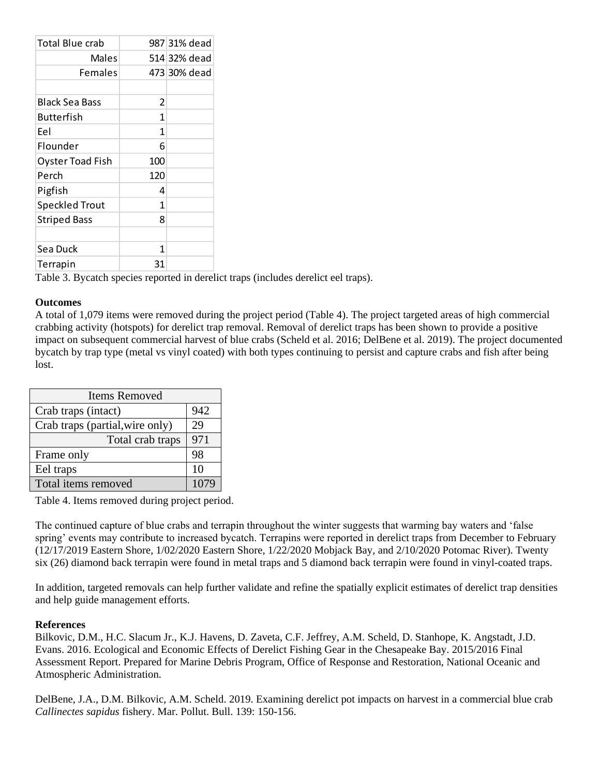| <b>Total Blue crab</b>  |     | 987 31% dead |
|-------------------------|-----|--------------|
| Males                   |     | 514 32% dead |
| Females                 |     | 473 30% dead |
|                         |     |              |
| Black Sea Bass          | 2   |              |
| Butterfish              | 1   |              |
| Eel                     | 1   |              |
| Flounder                | 6   |              |
| <b>Oyster Toad Fish</b> | 100 |              |
| Perch                   | 120 |              |
| Pigfish                 | 4   |              |
| <b>Speckled Trout</b>   | 1   |              |
| <b>Striped Bass</b>     | 8   |              |
|                         |     |              |
| Sea Duck                | 1   |              |
| Terrapin                | 31  |              |

Table 3. Bycatch species reported in derelict traps (includes derelict eel traps).

#### **Outcomes**

A total of 1,079 items were removed during the project period (Table 4). The project targeted areas of high commercial crabbing activity (hotspots) for derelict trap removal. Removal of derelict traps has been shown to provide a positive impact on subsequent commercial harvest of blue crabs (Scheld et al. 2016; DelBene et al. 2019). The project documented bycatch by trap type (metal vs vinyl coated) with both types continuing to persist and capture crabs and fish after being lost.

| <b>Items Removed</b>            |      |  |
|---------------------------------|------|--|
| Crab traps (intact)             | 942  |  |
| Crab traps (partial, wire only) | 29   |  |
| Total crab traps                | 971  |  |
| Frame only                      | 98   |  |
| Eel traps                       | 10   |  |
| Total items removed             | 1079 |  |

Table 4. Items removed during project period.

The continued capture of blue crabs and terrapin throughout the winter suggests that warming bay waters and 'false spring' events may contribute to increased bycatch. Terrapins were reported in derelict traps from December to February (12/17/2019 Eastern Shore, 1/02/2020 Eastern Shore, 1/22/2020 Mobjack Bay, and 2/10/2020 Potomac River). Twenty six (26) diamond back terrapin were found in metal traps and 5 diamond back terrapin were found in vinyl-coated traps.

In addition, targeted removals can help further validate and refine the spatially explicit estimates of derelict trap densities and help guide management efforts.

#### **References**

Bilkovic, D.M., H.C. Slacum Jr., K.J. Havens, D. Zaveta, C.F. Jeffrey, A.M. Scheld, D. Stanhope, K. Angstadt, J.D. Evans. 2016. Ecological and Economic Effects of Derelict Fishing Gear in the Chesapeake Bay. 2015/2016 Final Assessment Report. Prepared for Marine Debris Program, Office of Response and Restoration, National Oceanic and Atmospheric Administration.

DelBene, J.A., D.M. Bilkovic, A.M. Scheld. 2019. Examining derelict pot impacts on harvest in a commercial blue crab *Callinectes sapidus* fishery. Mar. Pollut. Bull. 139: 150-156.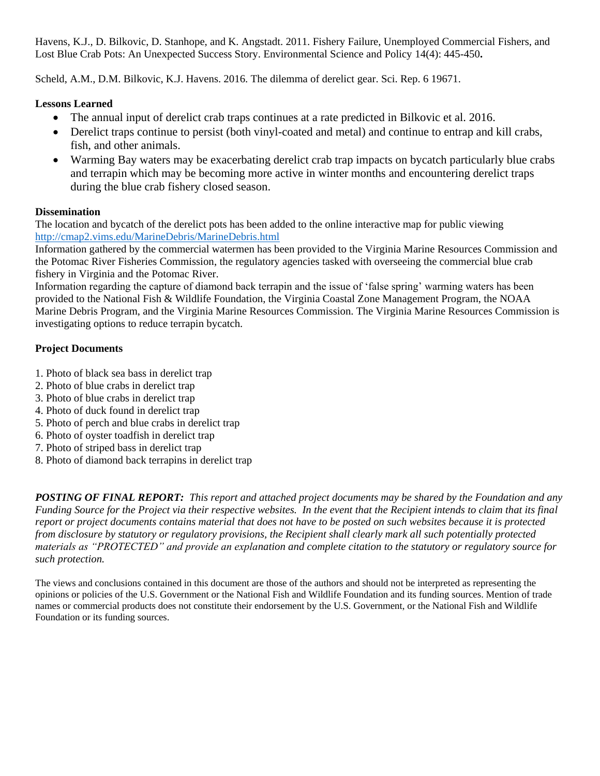Havens, K.J., D. Bilkovic, D. Stanhope, and K. Angstadt. 2011. Fishery Failure, Unemployed Commercial Fishers, and Lost Blue Crab Pots: An Unexpected Success Story. Environmental Science and Policy 14(4): 445-450**.**

Scheld, A.M., D.M. Bilkovic, K.J. Havens. 2016. The dilemma of derelict gear. Sci. Rep. 6 19671.

## **Lessons Learned**

- The annual input of derelict crab traps continues at a rate predicted in Bilkovic et al. 2016.
- Derelict traps continue to persist (both vinyl-coated and metal) and continue to entrap and kill crabs, fish, and other animals.
- Warming Bay waters may be exacerbating derelict crab trap impacts on bycatch particularly blue crabs and terrapin which may be becoming more active in winter months and encountering derelict traps during the blue crab fishery closed season.

### **Dissemination**

The location and bycatch of the derelict pots has been added to the online interactive map for public viewing <http://cmap2.vims.edu/MarineDebris/MarineDebris.html>

Information gathered by the commercial watermen has been provided to the Virginia Marine Resources Commission and the Potomac River Fisheries Commission, the regulatory agencies tasked with overseeing the commercial blue crab fishery in Virginia and the Potomac River.

Information regarding the capture of diamond back terrapin and the issue of 'false spring' warming waters has been provided to the National Fish & Wildlife Foundation, the Virginia Coastal Zone Management Program, the NOAA Marine Debris Program, and the Virginia Marine Resources Commission. The Virginia Marine Resources Commission is investigating options to reduce terrapin bycatch.

## **Project Documents**

- 1. Photo of black sea bass in derelict trap
- 2. Photo of blue crabs in derelict trap
- 3. Photo of blue crabs in derelict trap
- 4. Photo of duck found in derelict trap
- 5. Photo of perch and blue crabs in derelict trap
- 6. Photo of oyster toadfish in derelict trap
- 7. Photo of striped bass in derelict trap
- 8. Photo of diamond back terrapins in derelict trap

*POSTING OF FINAL REPORT: This report and attached project documents may be shared by the Foundation and any Funding Source for the Project via their respective websites. In the event that the Recipient intends to claim that its final report or project documents contains material that does not have to be posted on such websites because it is protected from disclosure by statutory or regulatory provisions, the Recipient shall clearly mark all such potentially protected materials as "PROTECTED" and provide an explanation and complete citation to the statutory or regulatory source for such protection.*

The views and conclusions contained in this document are those of the authors and should not be interpreted as representing the opinions or policies of the U.S. Government or the National Fish and Wildlife Foundation and its funding sources. Mention of trade names or commercial products does not constitute their endorsement by the U.S. Government, or the National Fish and Wildlife Foundation or its funding sources.